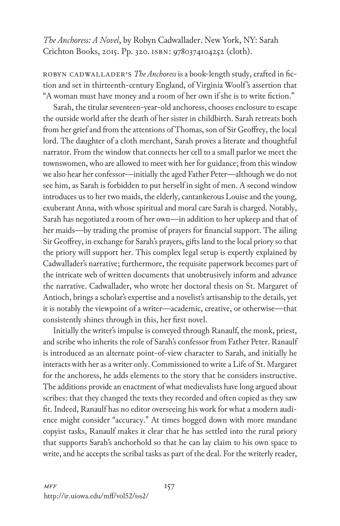*The Anchoress: A Novel*, by Robyn Cadwallader. New York, NY: Sarah Crichton Books, 2015. Pp. 320. isbn: 9780374104252 (cloth).

Robyn Cadwallader's *The Anchoress* is a book-length study, crafted in fiction and set in thirteenth-century England, of Virginia Woolf 's assertion that "A woman must have money and a room of her own if she is to write fiction."

Sarah, the titular seventeen-year-old anchoress, chooses enclosure to escape the outside world after the death of her sister in childbirth. Sarah retreats both from her grief and from the attentions of Thomas, son of Sir Geoffrey, the local lord. The daughter of a cloth merchant, Sarah proves a literate and thoughtful narrator. From the window that connects her cell to a small parlor we meet the townswomen, who are allowed to meet with her for guidance; from this window we also hear her confessor—initially the aged Father Peter—although we do not see him, as Sarah is forbidden to put herself in sight of men. A second window introduces us to her two maids, the elderly, cantankerous Louise and the young, exuberant Anna, with whose spiritual and moral care Sarah is charged. Notably, Sarah has negotiated a room of her own—in addition to her upkeep and that of her maids—by trading the promise of prayers for financial support. The ailing Sir Geoffrey, in exchange for Sarah's prayers, gifts land to the local priory so that the priory will support her. This complex legal setup is expertly explained by Cadwallader's narrative; furthermore, the requisite paperwork becomes part of the intricate web of written documents that unobtrusively inform and advance the narrative. Cadwallader, who wrote her doctoral thesis on St. Margaret of Antioch, brings a scholar's expertise and a novelist's artisanship to the details, yet it is notably the viewpoint of a writer—academic, creative, or otherwise—that consistently shines through in this, her first novel.

Initially the writer's impulse is conveyed through Ranaulf, the monk, priest, and scribe who inherits the role of Sarah's confessor from Father Peter. Ranaulf is introduced as an alternate point-of-view character to Sarah, and initially he interacts with her as a writer only. Commissioned to write a Life of St. Margaret for the anchoress, he adds elements to the story that he considers instructive. The additions provide an enactment of what medievalists have long argued about scribes: that they changed the texts they recorded and often copied as they saw fit. Indeed, Ranaulf has no editor overseeing his work for what a modern audience might consider "accuracy." At times bogged down with more mundane copyist tasks, Ranaulf makes it clear that he has settled into the rural priory that supports Sarah's anchorhold so that he can lay claim to his own space to write, and he accepts the scribal tasks as part of the deal. For the writerly reader,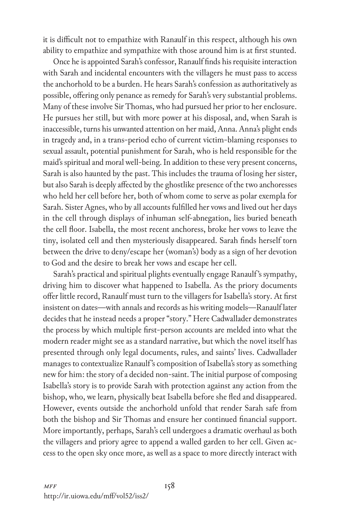it is difficult not to empathize with Ranaulf in this respect, although his own ability to empathize and sympathize with those around him is at first stunted.

Once he is appointed Sarah's confessor, Ranaulf finds his requisite interaction with Sarah and incidental encounters with the villagers he must pass to access the anchorhold to be a burden. He hears Sarah's confession as authoritatively as possible, offering only penance as remedy for Sarah's very substantial problems. Many of these involve Sir Thomas, who had pursued her prior to her enclosure. He pursues her still, but with more power at his disposal, and, when Sarah is inaccessible, turns his unwanted attention on her maid, Anna. Anna's plight ends in tragedy and, in a trans-period echo of current victim-blaming responses to sexual assault, potential punishment for Sarah, who is held responsible for the maid's spiritual and moral well-being. In addition to these very present concerns, Sarah is also haunted by the past. This includes the trauma of losing her sister, but also Sarah is deeply affected by the ghostlike presence of the two anchoresses who held her cell before her, both of whom come to serve as polar exempla for Sarah. Sister Agnes, who by all accounts fulfilled her vows and lived out her days in the cell through displays of inhuman self-abnegation, lies buried beneath the cell floor. Isabella, the most recent anchoress, broke her vows to leave the tiny, isolated cell and then mysteriously disappeared. Sarah finds herself torn between the drive to deny/escape her (woman's) body as a sign of her devotion to God and the desire to break her vows and escape her cell.

Sarah's practical and spiritual plights eventually engage Ranaulf 's sympathy, driving him to discover what happened to Isabella. As the priory documents offer little record, Ranaulf must turn to the villagers for Isabella's story. At first insistent on dates—with annals and records as his writing models—Ranaulf later decides that he instead needs a proper "story." Here Cadwallader demonstrates the process by which multiple first-person accounts are melded into what the modern reader might see as a standard narrative, but which the novel itself has presented through only legal documents, rules, and saints' lives. Cadwallader manages to contextualize Ranaulf 's composition of Isabella's story as something new for him: the story of a decided non-saint. The initial purpose of composing Isabella's story is to provide Sarah with protection against any action from the bishop, who, we learn, physically beat Isabella before she fled and disappeared. However, events outside the anchorhold unfold that render Sarah safe from both the bishop and Sir Thomas and ensure her continued financial support. More importantly, perhaps, Sarah's cell undergoes a dramatic overhaul as both the villagers and priory agree to append a walled garden to her cell. Given access to the open sky once more, as well as a space to more directly interact with